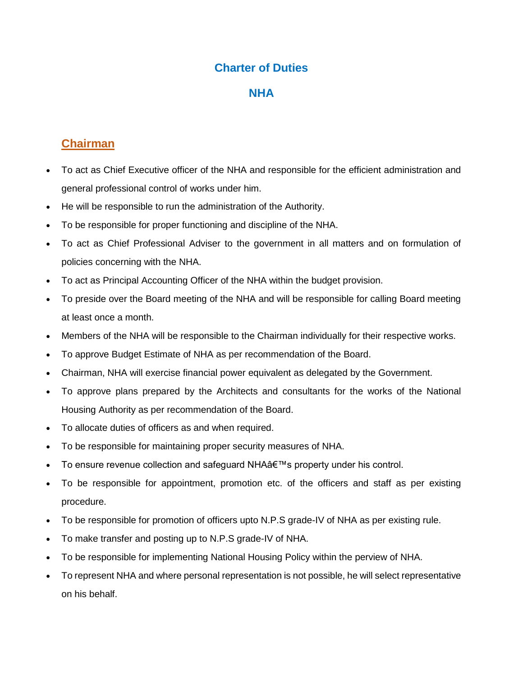#### **Charter of Duties**

#### **NHA**

# **Chairman**

- To act as Chief Executive officer of the NHA and responsible for the efficient administration and general professional control of works under him.
- He will be responsible to run the administration of the Authority.
- To be responsible for proper functioning and discipline of the NHA.
- To act as Chief Professional Adviser to the government in all matters and on formulation of policies concerning with the NHA.
- To act as Principal Accounting Officer of the NHA within the budget provision.
- To preside over the Board meeting of the NHA and will be responsible for calling Board meeting at least once a month.
- Members of the NHA will be responsible to the Chairman individually for their respective works.
- To approve Budget Estimate of NHA as per recommendation of the Board.
- Chairman, NHA will exercise financial power equivalent as delegated by the Government.
- To approve plans prepared by the Architects and consultants for the works of the National Housing Authority as per recommendation of the Board.
- To allocate duties of officers as and when required.
- To be responsible for maintaining proper security measures of NHA.
- To ensure revenue collection and safeguard NHA a€™s property under his control.
- To be responsible for appointment, promotion etc. of the officers and staff as per existing procedure.
- To be responsible for promotion of officers upto N.P.S grade-IV of NHA as per existing rule.
- To make transfer and posting up to N.P.S grade-IV of NHA.
- To be responsible for implementing National Housing Policy within the perview of NHA.
- To represent NHA and where personal representation is not possible, he will select representative on his behalf.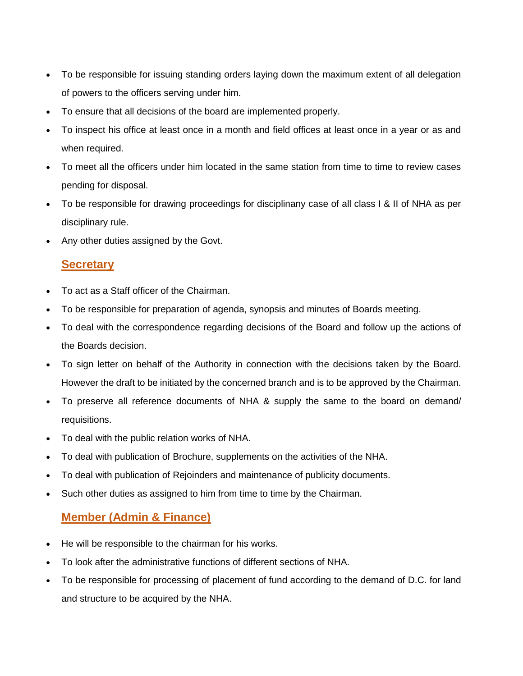- To be responsible for issuing standing orders laying down the maximum extent of all delegation of powers to the officers serving under him.
- To ensure that all decisions of the board are implemented properly.
- To inspect his office at least once in a month and field offices at least once in a year or as and when required.
- To meet all the officers under him located in the same station from time to time to review cases pending for disposal.
- To be responsible for drawing proceedings for disciplinany case of all class I & II of NHA as per disciplinary rule.
- Any other duties assigned by the Govt.

### **Secretary**

- To act as a Staff officer of the Chairman.
- To be responsible for preparation of agenda, synopsis and minutes of Boards meeting.
- To deal with the correspondence regarding decisions of the Board and follow up the actions of the Boards decision.
- To sign letter on behalf of the Authority in connection with the decisions taken by the Board. However the draft to be initiated by the concerned branch and is to be approved by the Chairman.
- To preserve all reference documents of NHA & supply the same to the board on demand/ requisitions.
- To deal with the public relation works of NHA.
- To deal with publication of Brochure, supplements on the activities of the NHA.
- To deal with publication of Rejoinders and maintenance of publicity documents.
- Such other duties as assigned to him from time to time by the Chairman.

### **Member (Admin & Finance)**

- He will be responsible to the chairman for his works.
- To look after the administrative functions of different sections of NHA.
- To be responsible for processing of placement of fund according to the demand of D.C. for land and structure to be acquired by the NHA.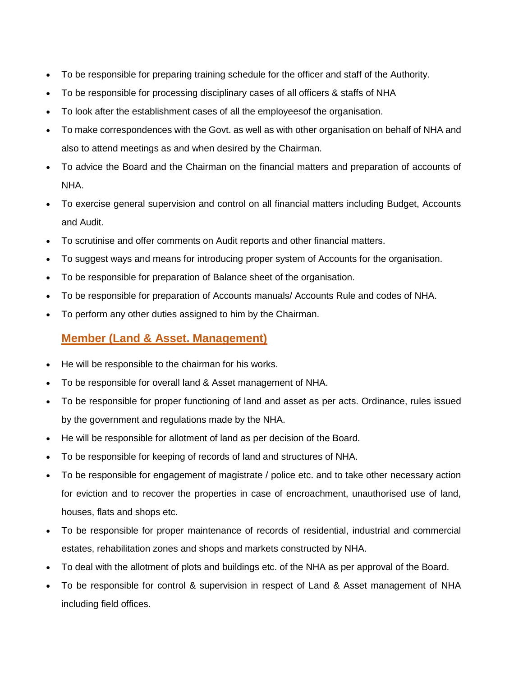- To be responsible for preparing training schedule for the officer and staff of the Authority.
- To be responsible for processing disciplinary cases of all officers & staffs of NHA
- To look after the establishment cases of all the employeesof the organisation.
- To make correspondences with the Govt. as well as with other organisation on behalf of NHA and also to attend meetings as and when desired by the Chairman.
- To advice the Board and the Chairman on the financial matters and preparation of accounts of NHA.
- To exercise general supervision and control on all financial matters including Budget, Accounts and Audit.
- To scrutinise and offer comments on Audit reports and other financial matters.
- To suggest ways and means for introducing proper system of Accounts for the organisation.
- To be responsible for preparation of Balance sheet of the organisation.
- To be responsible for preparation of Accounts manuals/ Accounts Rule and codes of NHA.
- To perform any other duties assigned to him by the Chairman.

### **Member (Land & Asset. Management)**

- He will be responsible to the chairman for his works.
- To be responsible for overall land & Asset management of NHA.
- To be responsible for proper functioning of land and asset as per acts. Ordinance, rules issued by the government and regulations made by the NHA.
- He will be responsible for allotment of land as per decision of the Board.
- To be responsible for keeping of records of land and structures of NHA.
- To be responsible for engagement of magistrate / police etc. and to take other necessary action for eviction and to recover the properties in case of encroachment, unauthorised use of land, houses, flats and shops etc.
- To be responsible for proper maintenance of records of residential, industrial and commercial estates, rehabilitation zones and shops and markets constructed by NHA.
- To deal with the allotment of plots and buildings etc. of the NHA as per approval of the Board.
- To be responsible for control & supervision in respect of Land & Asset management of NHA including field offices.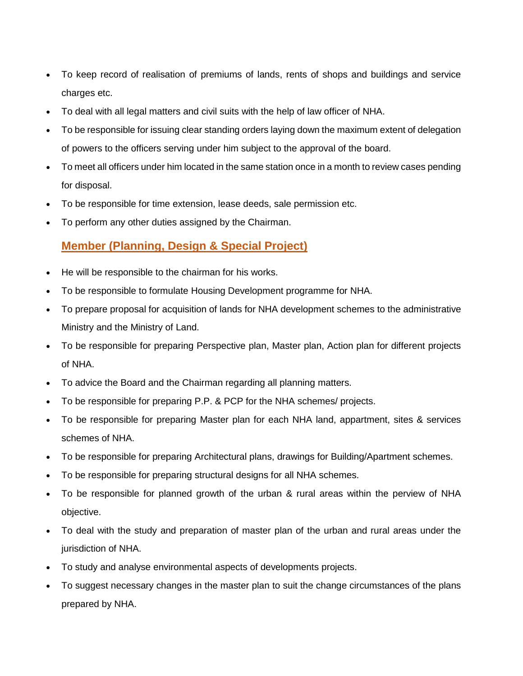- To keep record of realisation of premiums of lands, rents of shops and buildings and service charges etc.
- To deal with all legal matters and civil suits with the help of law officer of NHA.
- To be responsible for issuing clear standing orders laying down the maximum extent of delegation of powers to the officers serving under him subject to the approval of the board.
- To meet all officers under him located in the same station once in a month to review cases pending for disposal.
- To be responsible for time extension, lease deeds, sale permission etc.
- To perform any other duties assigned by the Chairman.

## **Member (Planning, Design & Special Project)**

- He will be responsible to the chairman for his works.
- To be responsible to formulate Housing Development programme for NHA.
- To prepare proposal for acquisition of lands for NHA development schemes to the administrative Ministry and the Ministry of Land.
- To be responsible for preparing Perspective plan, Master plan, Action plan for different projects of NHA.
- To advice the Board and the Chairman regarding all planning matters.
- To be responsible for preparing P.P. & PCP for the NHA schemes/ projects.
- To be responsible for preparing Master plan for each NHA land, appartment, sites & services schemes of NHA.
- To be responsible for preparing Architectural plans, drawings for Building/Apartment schemes.
- To be responsible for preparing structural designs for all NHA schemes.
- To be responsible for planned growth of the urban & rural areas within the perview of NHA objective.
- To deal with the study and preparation of master plan of the urban and rural areas under the jurisdiction of NHA.
- To study and analyse environmental aspects of developments projects.
- To suggest necessary changes in the master plan to suit the change circumstances of the plans prepared by NHA.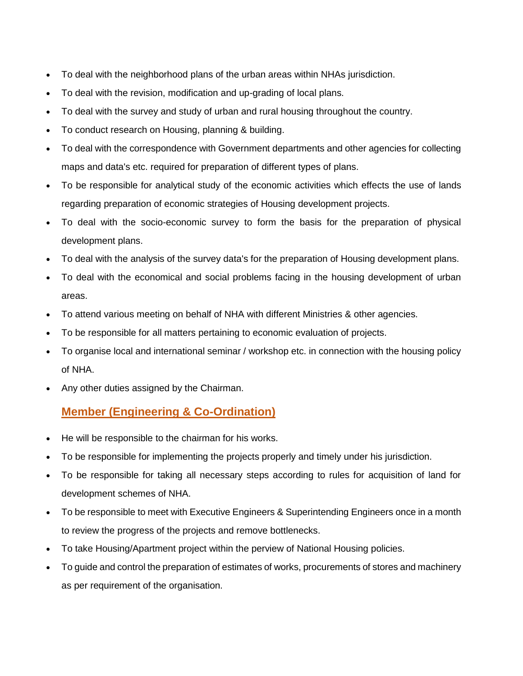- To deal with the neighborhood plans of the urban areas within NHAs jurisdiction.
- To deal with the revision, modification and up-grading of local plans.
- To deal with the survey and study of urban and rural housing throughout the country.
- To conduct research on Housing, planning & building.
- To deal with the correspondence with Government departments and other agencies for collecting maps and data's etc. required for preparation of different types of plans.
- To be responsible for analytical study of the economic activities which effects the use of lands regarding preparation of economic strategies of Housing development projects.
- To deal with the socio-economic survey to form the basis for the preparation of physical development plans.
- To deal with the analysis of the survey data's for the preparation of Housing development plans.
- To deal with the economical and social problems facing in the housing development of urban areas.
- To attend various meeting on behalf of NHA with different Ministries & other agencies.
- To be responsible for all matters pertaining to economic evaluation of projects.
- To organise local and international seminar / workshop etc. in connection with the housing policy of NHA.
- Any other duties assigned by the Chairman.

# **Member (Engineering & Co-Ordination)**

- He will be responsible to the chairman for his works.
- To be responsible for implementing the projects properly and timely under his jurisdiction.
- To be responsible for taking all necessary steps according to rules for acquisition of land for development schemes of NHA.
- To be responsible to meet with Executive Engineers & Superintending Engineers once in a month to review the progress of the projects and remove bottlenecks.
- To take Housing/Apartment project within the perview of National Housing policies.
- To guide and control the preparation of estimates of works, procurements of stores and machinery as per requirement of the organisation.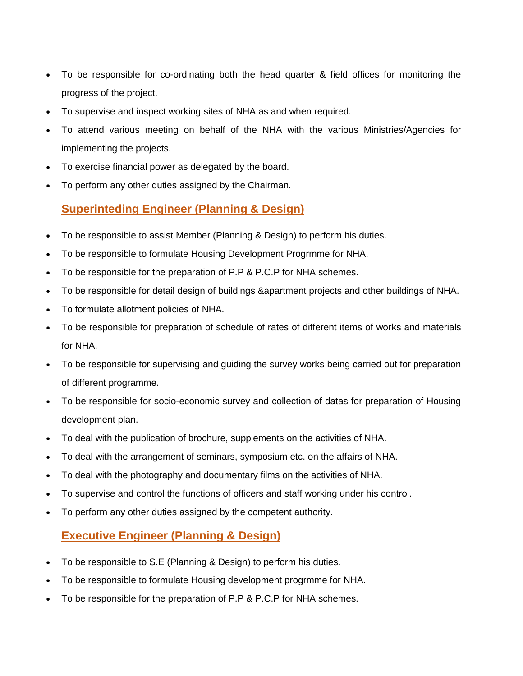- To be responsible for co-ordinating both the head quarter & field offices for monitoring the progress of the project.
- To supervise and inspect working sites of NHA as and when required.
- To attend various meeting on behalf of the NHA with the various Ministries/Agencies for implementing the projects.
- To exercise financial power as delegated by the board.
- To perform any other duties assigned by the Chairman.

## **Superinteding Engineer (Planning & Design)**

- To be responsible to assist Member (Planning & Design) to perform his duties.
- To be responsible to formulate Housing Development Progrmme for NHA.
- To be responsible for the preparation of P.P & P.C.P for NHA schemes.
- To be responsible for detail design of buildings &apartment projects and other buildings of NHA.
- To formulate allotment policies of NHA.
- To be responsible for preparation of schedule of rates of different items of works and materials for NHA.
- To be responsible for supervising and guiding the survey works being carried out for preparation of different programme.
- To be responsible for socio-economic survey and collection of datas for preparation of Housing development plan.
- To deal with the publication of brochure, supplements on the activities of NHA.
- To deal with the arrangement of seminars, symposium etc. on the affairs of NHA.
- To deal with the photography and documentary films on the activities of NHA.
- To supervise and control the functions of officers and staff working under his control.
- To perform any other duties assigned by the competent authority.

#### **Executive Engineer (Planning & Design)**

- To be responsible to S.E (Planning & Design) to perform his duties.
- To be responsible to formulate Housing development progrmme for NHA.
- To be responsible for the preparation of P.P & P.C.P for NHA schemes.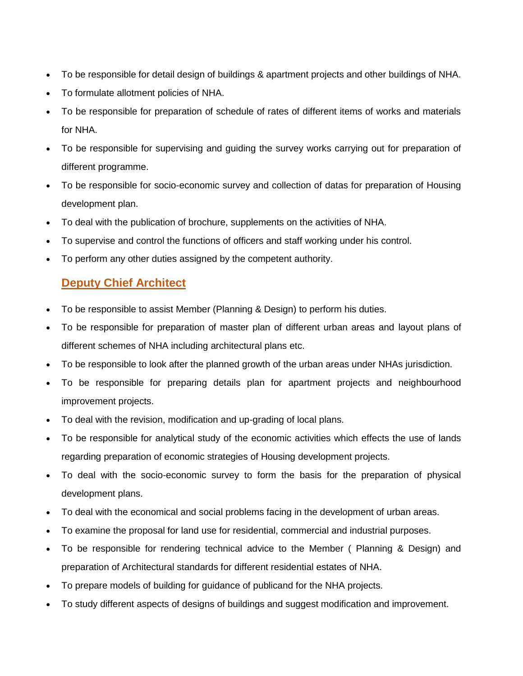- To be responsible for detail design of buildings & apartment projects and other buildings of NHA.
- To formulate allotment policies of NHA.
- To be responsible for preparation of schedule of rates of different items of works and materials for NHA.
- To be responsible for supervising and guiding the survey works carrying out for preparation of different programme.
- To be responsible for socio-economic survey and collection of datas for preparation of Housing development plan.
- To deal with the publication of brochure, supplements on the activities of NHA.
- To supervise and control the functions of officers and staff working under his control.
- To perform any other duties assigned by the competent authority.

#### **Deputy Chief Architect**

- To be responsible to assist Member (Planning & Design) to perform his duties.
- To be responsible for preparation of master plan of different urban areas and layout plans of different schemes of NHA including architectural plans etc.
- To be responsible to look after the planned growth of the urban areas under NHAs jurisdiction.
- To be responsible for preparing details plan for apartment projects and neighbourhood improvement projects.
- To deal with the revision, modification and up-grading of local plans.
- To be responsible for analytical study of the economic activities which effects the use of lands regarding preparation of economic strategies of Housing development projects.
- To deal with the socio-economic survey to form the basis for the preparation of physical development plans.
- To deal with the economical and social problems facing in the development of urban areas.
- To examine the proposal for land use for residential, commercial and industrial purposes.
- To be responsible for rendering technical advice to the Member ( Planning & Design) and preparation of Architectural standards for different residential estates of NHA.
- To prepare models of building for guidance of publicand for the NHA projects.
- To study different aspects of designs of buildings and suggest modification and improvement.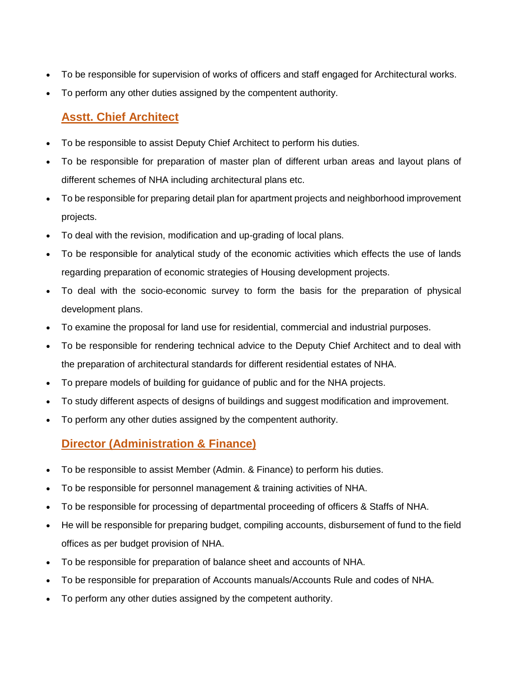- To be responsible for supervision of works of officers and staff engaged for Architectural works.
- To perform any other duties assigned by the compentent authority.

# **Asstt. Chief Architect**

- To be responsible to assist Deputy Chief Architect to perform his duties.
- To be responsible for preparation of master plan of different urban areas and layout plans of different schemes of NHA including architectural plans etc.
- To be responsible for preparing detail plan for apartment projects and neighborhood improvement projects.
- To deal with the revision, modification and up-grading of local plans.
- To be responsible for analytical study of the economic activities which effects the use of lands regarding preparation of economic strategies of Housing development projects.
- To deal with the socio-economic survey to form the basis for the preparation of physical development plans.
- To examine the proposal for land use for residential, commercial and industrial purposes.
- To be responsible for rendering technical advice to the Deputy Chief Architect and to deal with the preparation of architectural standards for different residential estates of NHA.
- To prepare models of building for guidance of public and for the NHA projects.
- To study different aspects of designs of buildings and suggest modification and improvement.
- To perform any other duties assigned by the compentent authority.

# **Director (Administration & Finance)**

- To be responsible to assist Member (Admin. & Finance) to perform his duties.
- To be responsible for personnel management & training activities of NHA.
- To be responsible for processing of departmental proceeding of officers & Staffs of NHA.
- He will be responsible for preparing budget, compiling accounts, disbursement of fund to the field offices as per budget provision of NHA.
- To be responsible for preparation of balance sheet and accounts of NHA.
- To be responsible for preparation of Accounts manuals/Accounts Rule and codes of NHA.
- To perform any other duties assigned by the competent authority.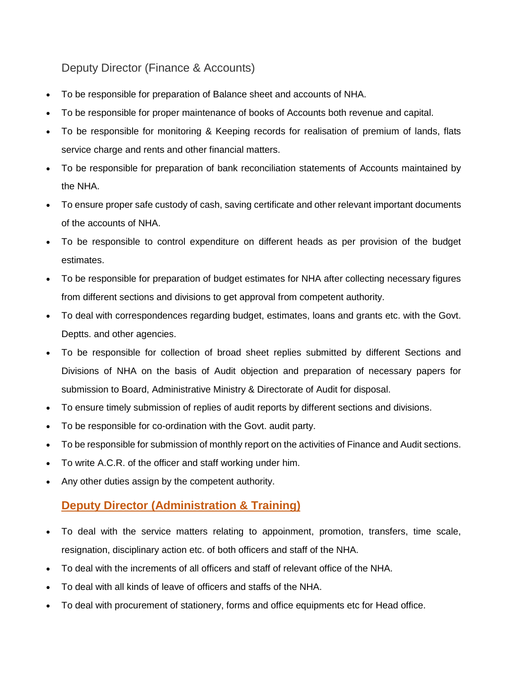Deputy Director (Finance & Accounts)

- To be responsible for preparation of Balance sheet and accounts of NHA.
- To be responsible for proper maintenance of books of Accounts both revenue and capital.
- To be responsible for monitoring & Keeping records for realisation of premium of lands, flats service charge and rents and other financial matters.
- To be responsible for preparation of bank reconciliation statements of Accounts maintained by the NHA.
- To ensure proper safe custody of cash, saving certificate and other relevant important documents of the accounts of NHA.
- To be responsible to control expenditure on different heads as per provision of the budget estimates.
- To be responsible for preparation of budget estimates for NHA after collecting necessary figures from different sections and divisions to get approval from competent authority.
- To deal with correspondences regarding budget, estimates, loans and grants etc. with the Govt. Deptts. and other agencies.
- To be responsible for collection of broad sheet replies submitted by different Sections and Divisions of NHA on the basis of Audit objection and preparation of necessary papers for submission to Board, Administrative Ministry & Directorate of Audit for disposal.
- To ensure timely submission of replies of audit reports by different sections and divisions.
- To be responsible for co-ordination with the Govt. audit party.
- To be responsible for submission of monthly report on the activities of Finance and Audit sections.
- To write A.C.R. of the officer and staff working under him.
- Any other duties assign by the competent authority.

# **Deputy Director (Administration & Training)**

- To deal with the service matters relating to appoinment, promotion, transfers, time scale, resignation, disciplinary action etc. of both officers and staff of the NHA.
- To deal with the increments of all officers and staff of relevant office of the NHA.
- To deal with all kinds of leave of officers and staffs of the NHA.
- To deal with procurement of stationery, forms and office equipments etc for Head office.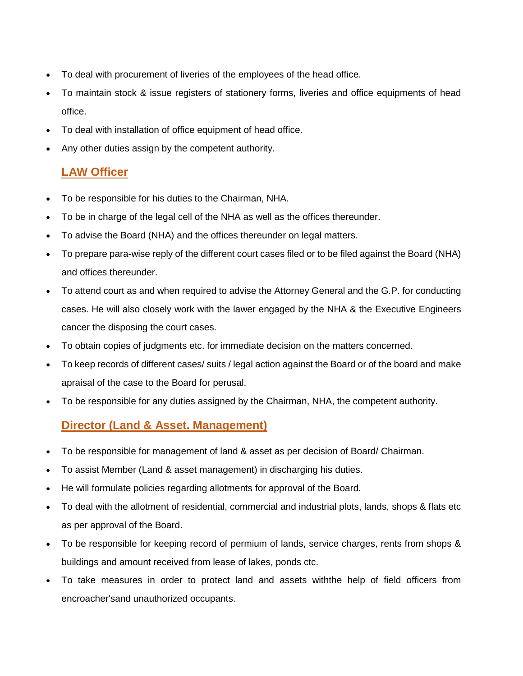- To deal with procurement of liveries of the employees of the head office.
- To maintain stock & issue registers of stationery forms, liveries and office equipments of head office.
- To deal with installation of office equipment of head office.
- Any other duties assign by the competent authority.

## **LAW Officer**

- To be responsible for his duties to the Chairman, NHA.
- To be in charge of the legal cell of the NHA as well as the offices thereunder.
- To advise the Board (NHA) and the offices thereunder on legal matters.
- To prepare para-wise reply of the different court cases filed or to be filed against the Board (NHA) and offices thereunder.
- To attend court as and when required to advise the Attorney General and the G.P. for conducting cases. He will also closely work with the lawer engaged by the NHA & the Executive Engineers cancer the disposing the court cases.
- To obtain copies of judgments etc. for immediate decision on the matters concerned.
- To keep records of different cases/ suits / legal action against the Board or of the board and make apraisal of the case to the Board for perusal.
- To be responsible for any duties assigned by the Chairman, NHA, the competent authority.

### **Director (Land & Asset. Management)**

- To be responsible for management of land & asset as per decision of Board/ Chairman.
- To assist Member (Land & asset management) in discharging his duties.
- He will formulate policies regarding allotments for approval of the Board.
- To deal with the allotment of residential, commercial and industrial plots, lands, shops & flats etc as per approval of the Board.
- To be responsible for keeping record of permium of lands, service charges, rents from shops & buildings and amount received from lease of lakes, ponds ctc.
- To take measures in order to protect land and assets withthe help of field officers from encroacher'sand unauthorized occupants.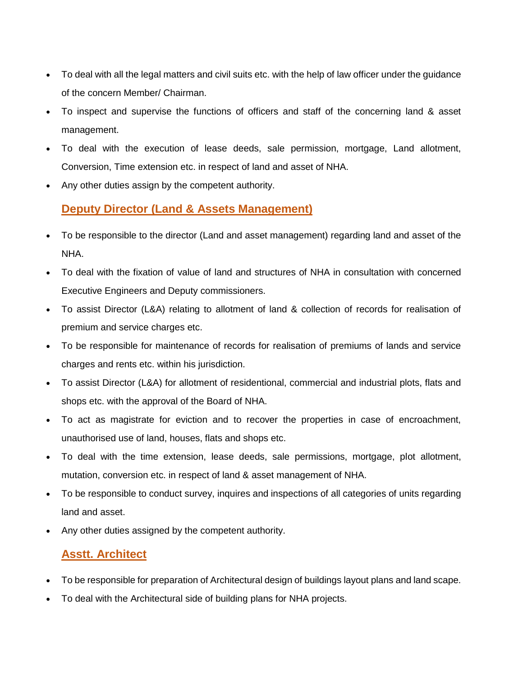- To deal with all the legal matters and civil suits etc. with the help of law officer under the guidance of the concern Member/ Chairman.
- To inspect and supervise the functions of officers and staff of the concerning land & asset management.
- To deal with the execution of lease deeds, sale permission, mortgage, Land allotment, Conversion, Time extension etc. in respect of land and asset of NHA.
- Any other duties assign by the competent authority.

## **Deputy Director (Land & Assets Management)**

- To be responsible to the director (Land and asset management) regarding land and asset of the NHA.
- To deal with the fixation of value of land and structures of NHA in consultation with concerned Executive Engineers and Deputy commissioners.
- To assist Director (L&A) relating to allotment of land & collection of records for realisation of premium and service charges etc.
- To be responsible for maintenance of records for realisation of premiums of lands and service charges and rents etc. within his jurisdiction.
- To assist Director (L&A) for allotment of residentional, commercial and industrial plots, flats and shops etc. with the approval of the Board of NHA.
- To act as magistrate for eviction and to recover the properties in case of encroachment, unauthorised use of land, houses, flats and shops etc.
- To deal with the time extension, lease deeds, sale permissions, mortgage, plot allotment, mutation, conversion etc. in respect of land & asset management of NHA.
- To be responsible to conduct survey, inquires and inspections of all categories of units regarding land and asset.
- Any other duties assigned by the competent authority.

### **Asstt. Architect**

- To be responsible for preparation of Architectural design of buildings layout plans and land scape.
- To deal with the Architectural side of building plans for NHA projects.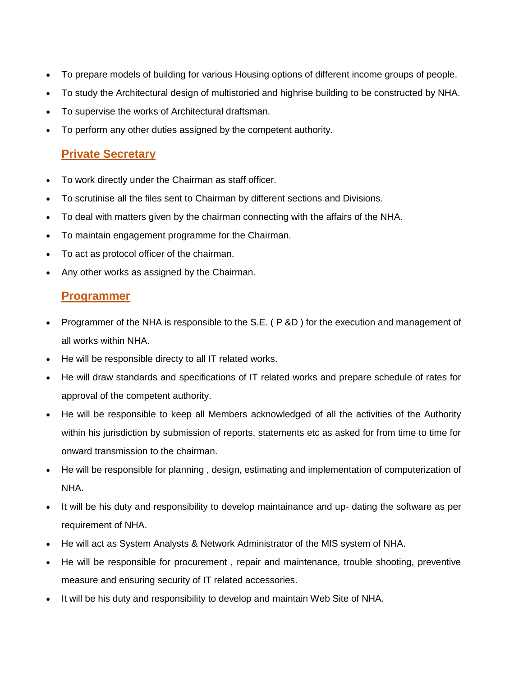- To prepare models of building for various Housing options of different income groups of people.
- To study the Architectural design of multistoried and highrise building to be constructed by NHA.
- To supervise the works of Architectural draftsman.
- To perform any other duties assigned by the competent authority.

#### **Private Secretary**

- To work directly under the Chairman as staff officer.
- To scrutinise all the files sent to Chairman by different sections and Divisions.
- To deal with matters given by the chairman connecting with the affairs of the NHA.
- To maintain engagement programme for the Chairman.
- To act as protocol officer of the chairman.
- Any other works as assigned by the Chairman.

#### **Programmer**

- Programmer of the NHA is responsible to the S.E. (P &D) for the execution and management of all works within NHA.
- He will be responsible directy to all IT related works.
- He will draw standards and specifications of IT related works and prepare schedule of rates for approval of the competent authority.
- He will be responsible to keep all Members acknowledged of all the activities of the Authority within his jurisdiction by submission of reports, statements etc as asked for from time to time for onward transmission to the chairman.
- He will be responsible for planning , design, estimating and implementation of computerization of NHA.
- It will be his duty and responsibility to develop maintainance and up- dating the software as per requirement of NHA.
- He will act as System Analysts & Network Administrator of the MIS system of NHA.
- He will be responsible for procurement , repair and maintenance, trouble shooting, preventive measure and ensuring security of IT related accessories.
- It will be his duty and responsibility to develop and maintain Web Site of NHA.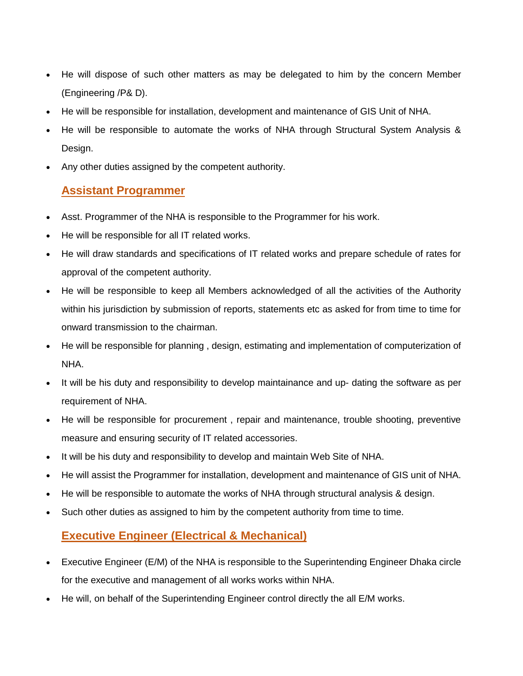- He will dispose of such other matters as may be delegated to him by the concern Member (Engineering /P& D).
- He will be responsible for installation, development and maintenance of GIS Unit of NHA.
- He will be responsible to automate the works of NHA through Structural System Analysis & Design.
- Any other duties assigned by the competent authority.

### **Assistant Programmer**

- Asst. Programmer of the NHA is responsible to the Programmer for his work.
- He will be responsible for all IT related works.
- He will draw standards and specifications of IT related works and prepare schedule of rates for approval of the competent authority.
- He will be responsible to keep all Members acknowledged of all the activities of the Authority within his jurisdiction by submission of reports, statements etc as asked for from time to time for onward transmission to the chairman.
- He will be responsible for planning , design, estimating and implementation of computerization of NHA.
- It will be his duty and responsibility to develop maintainance and up- dating the software as per requirement of NHA.
- He will be responsible for procurement , repair and maintenance, trouble shooting, preventive measure and ensuring security of IT related accessories.
- It will be his duty and responsibility to develop and maintain Web Site of NHA.
- He will assist the Programmer for installation, development and maintenance of GIS unit of NHA.
- He will be responsible to automate the works of NHA through structural analysis & design.
- Such other duties as assigned to him by the competent authority from time to time.

### **Executive Engineer (Electrical & Mechanical)**

- Executive Engineer (E/M) of the NHA is responsible to the Superintending Engineer Dhaka circle for the executive and management of all works works within NHA.
- He will, on behalf of the Superintending Engineer control directly the all E/M works.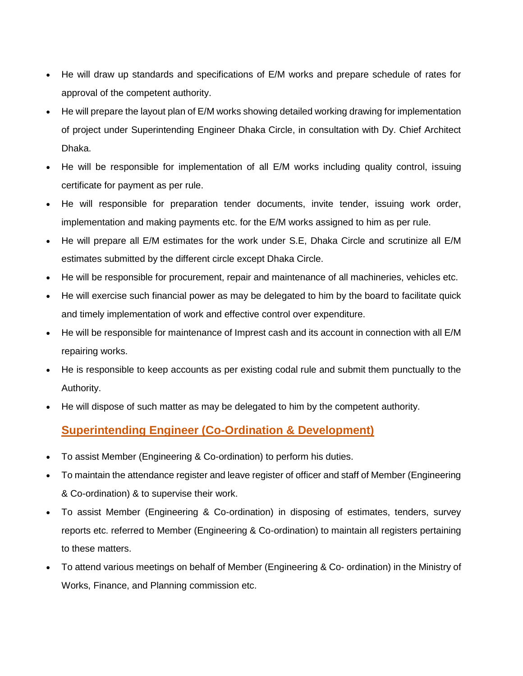- He will draw up standards and specifications of E/M works and prepare schedule of rates for approval of the competent authority.
- He will prepare the layout plan of E/M works showing detailed working drawing for implementation of project under Superintending Engineer Dhaka Circle, in consultation with Dy. Chief Architect Dhaka.
- He will be responsible for implementation of all E/M works including quality control, issuing certificate for payment as per rule.
- He will responsible for preparation tender documents, invite tender, issuing work order, implementation and making payments etc. for the E/M works assigned to him as per rule.
- He will prepare all E/M estimates for the work under S.E, Dhaka Circle and scrutinize all E/M estimates submitted by the different circle except Dhaka Circle.
- He will be responsible for procurement, repair and maintenance of all machineries, vehicles etc.
- He will exercise such financial power as may be delegated to him by the board to facilitate quick and timely implementation of work and effective control over expenditure.
- He will be responsible for maintenance of Imprest cash and its account in connection with all E/M repairing works.
- He is responsible to keep accounts as per existing codal rule and submit them punctually to the Authority.
- He will dispose of such matter as may be delegated to him by the competent authority.

### **Superintending Engineer (Co-Ordination & Development)**

- To assist Member (Engineering & Co-ordination) to perform his duties.
- To maintain the attendance register and leave register of officer and staff of Member (Engineering & Co-ordination) & to supervise their work.
- To assist Member (Engineering & Co-ordination) in disposing of estimates, tenders, survey reports etc. referred to Member (Engineering & Co-ordination) to maintain all registers pertaining to these matters.
- To attend various meetings on behalf of Member (Engineering & Co- ordination) in the Ministry of Works, Finance, and Planning commission etc.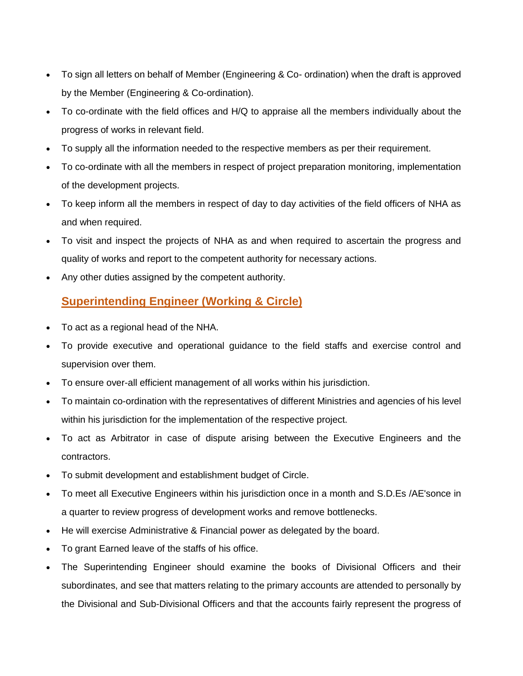- To sign all letters on behalf of Member (Engineering & Co- ordination) when the draft is approved by the Member (Engineering & Co-ordination).
- To co-ordinate with the field offices and H/Q to appraise all the members individually about the progress of works in relevant field.
- To supply all the information needed to the respective members as per their requirement.
- To co-ordinate with all the members in respect of project preparation monitoring, implementation of the development projects.
- To keep inform all the members in respect of day to day activities of the field officers of NHA as and when required.
- To visit and inspect the projects of NHA as and when required to ascertain the progress and quality of works and report to the competent authority for necessary actions.
- Any other duties assigned by the competent authority.

# **Superintending Engineer (Working & Circle)**

- To act as a regional head of the NHA.
- To provide executive and operational guidance to the field staffs and exercise control and supervision over them.
- To ensure over-all efficient management of all works within his jurisdiction.
- To maintain co-ordination with the representatives of different Ministries and agencies of his level within his jurisdiction for the implementation of the respective project.
- To act as Arbitrator in case of dispute arising between the Executive Engineers and the contractors.
- To submit development and establishment budget of Circle.
- To meet all Executive Engineers within his jurisdiction once in a month and S.D.Es /AE'sonce in a quarter to review progress of development works and remove bottlenecks.
- He will exercise Administrative & Financial power as delegated by the board.
- To grant Earned leave of the staffs of his office.
- The Superintending Engineer should examine the books of Divisional Officers and their subordinates, and see that matters relating to the primary accounts are attended to personally by the Divisional and Sub-Divisional Officers and that the accounts fairly represent the progress of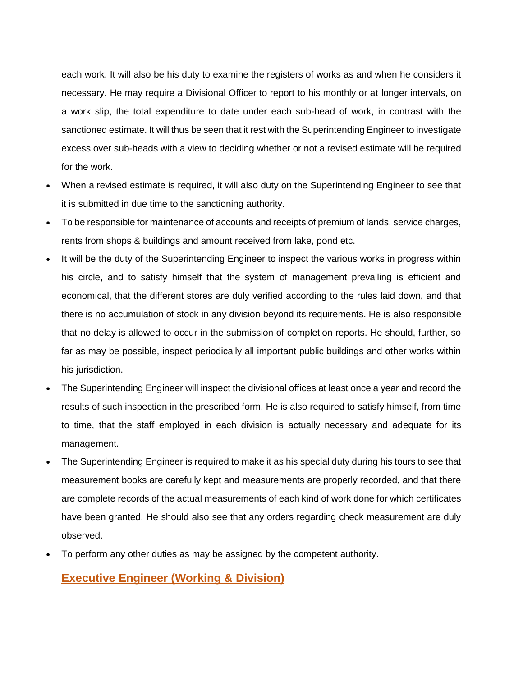each work. It will also be his duty to examine the registers of works as and when he considers it necessary. He may require a Divisional Officer to report to his monthly or at longer intervals, on a work slip, the total expenditure to date under each sub-head of work, in contrast with the sanctioned estimate. It will thus be seen that it rest with the Superintending Engineer to investigate excess over sub-heads with a view to deciding whether or not a revised estimate will be required for the work.

- When a revised estimate is required, it will also duty on the Superintending Engineer to see that it is submitted in due time to the sanctioning authority.
- To be responsible for maintenance of accounts and receipts of premium of lands, service charges, rents from shops & buildings and amount received from lake, pond etc.
- It will be the duty of the Superintending Engineer to inspect the various works in progress within his circle, and to satisfy himself that the system of management prevailing is efficient and economical, that the different stores are duly verified according to the rules laid down, and that there is no accumulation of stock in any division beyond its requirements. He is also responsible that no delay is allowed to occur in the submission of completion reports. He should, further, so far as may be possible, inspect periodically all important public buildings and other works within his jurisdiction.
- The Superintending Engineer will inspect the divisional offices at least once a year and record the results of such inspection in the prescribed form. He is also required to satisfy himself, from time to time, that the staff employed in each division is actually necessary and adequate for its management.
- The Superintending Engineer is required to make it as his special duty during his tours to see that measurement books are carefully kept and measurements are properly recorded, and that there are complete records of the actual measurements of each kind of work done for which certificates have been granted. He should also see that any orders regarding check measurement are duly observed.
- To perform any other duties as may be assigned by the competent authority.

#### **Executive Engineer (Working & Division)**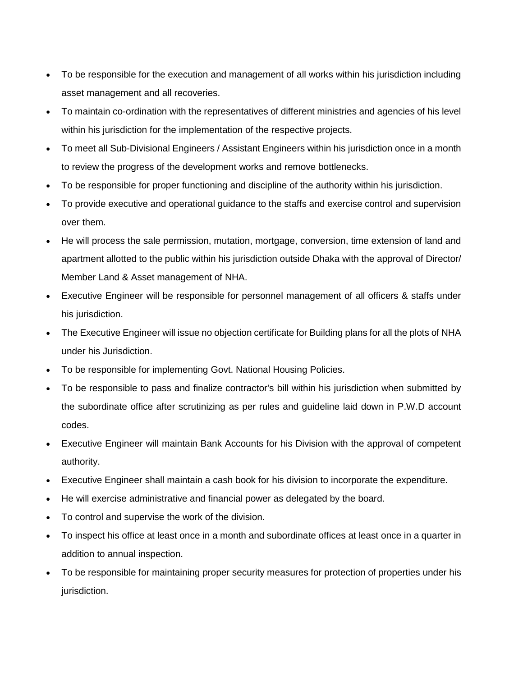- To be responsible for the execution and management of all works within his jurisdiction including asset management and all recoveries.
- To maintain co-ordination with the representatives of different ministries and agencies of his level within his jurisdiction for the implementation of the respective projects.
- To meet all Sub-Divisional Engineers / Assistant Engineers within his jurisdiction once in a month to review the progress of the development works and remove bottlenecks.
- To be responsible for proper functioning and discipline of the authority within his jurisdiction.
- To provide executive and operational guidance to the staffs and exercise control and supervision over them.
- He will process the sale permission, mutation, mortgage, conversion, time extension of land and apartment allotted to the public within his jurisdiction outside Dhaka with the approval of Director/ Member Land & Asset management of NHA.
- Executive Engineer will be responsible for personnel management of all officers & staffs under his jurisdiction.
- The Executive Engineer will issue no objection certificate for Building plans for all the plots of NHA under his Jurisdiction.
- To be responsible for implementing Govt. National Housing Policies.
- To be responsible to pass and finalize contractor's bill within his jurisdiction when submitted by the subordinate office after scrutinizing as per rules and guideline laid down in P.W.D account codes.
- Executive Engineer will maintain Bank Accounts for his Division with the approval of competent authority.
- Executive Engineer shall maintain a cash book for his division to incorporate the expenditure.
- He will exercise administrative and financial power as delegated by the board.
- To control and supervise the work of the division.
- To inspect his office at least once in a month and subordinate offices at least once in a quarter in addition to annual inspection.
- To be responsible for maintaining proper security measures for protection of properties under his jurisdiction.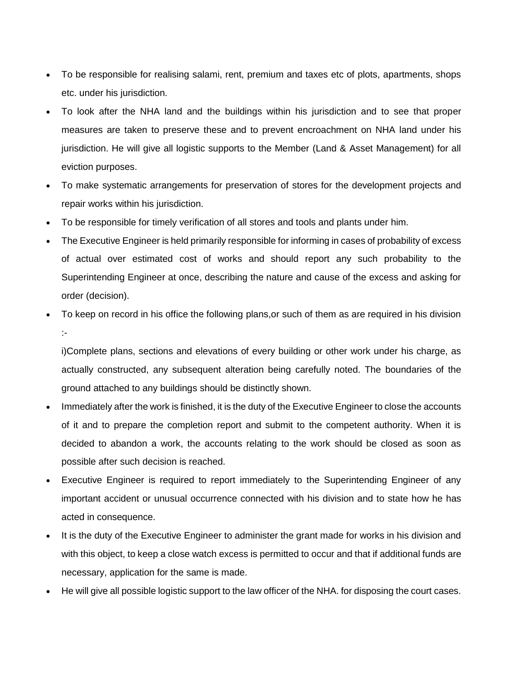- To be responsible for realising salami, rent, premium and taxes etc of plots, apartments, shops etc. under his jurisdiction.
- To look after the NHA land and the buildings within his jurisdiction and to see that proper measures are taken to preserve these and to prevent encroachment on NHA land under his jurisdiction. He will give all logistic supports to the Member (Land & Asset Management) for all eviction purposes.
- To make systematic arrangements for preservation of stores for the development projects and repair works within his jurisdiction.
- To be responsible for timely verification of all stores and tools and plants under him.
- The Executive Engineer is held primarily responsible for informing in cases of probability of excess of actual over estimated cost of works and should report any such probability to the Superintending Engineer at once, describing the nature and cause of the excess and asking for order (decision).
- To keep on record in his office the following plans,or such of them as are required in his division :-

i)Complete plans, sections and elevations of every building or other work under his charge, as actually constructed, any subsequent alteration being carefully noted. The boundaries of the ground attached to any buildings should be distinctly shown.

- Immediately after the work is finished, it is the duty of the Executive Engineer to close the accounts of it and to prepare the completion report and submit to the competent authority. When it is decided to abandon a work, the accounts relating to the work should be closed as soon as possible after such decision is reached.
- Executive Engineer is required to report immediately to the Superintending Engineer of any important accident or unusual occurrence connected with his division and to state how he has acted in consequence.
- It is the duty of the Executive Engineer to administer the grant made for works in his division and with this object, to keep a close watch excess is permitted to occur and that if additional funds are necessary, application for the same is made.
- He will give all possible logistic support to the law officer of the NHA. for disposing the court cases.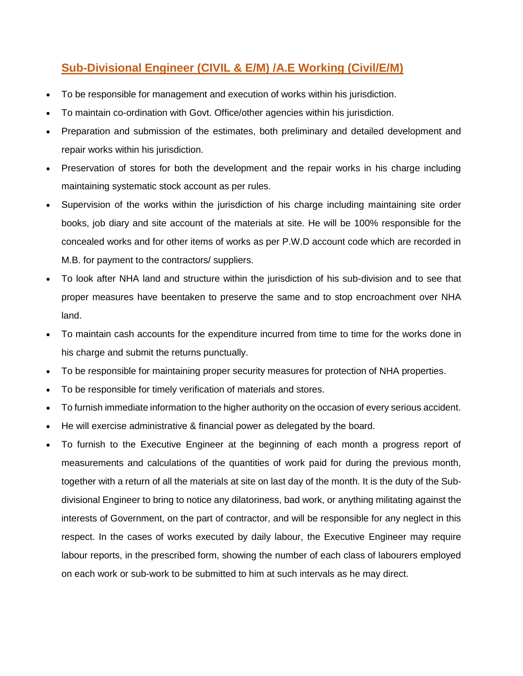### **Sub-Divisional Engineer (CIVIL & E/M) /A.E Working (Civil/E/M)**

- To be responsible for management and execution of works within his jurisdiction.
- To maintain co-ordination with Govt. Office/other agencies within his jurisdiction.
- Preparation and submission of the estimates, both preliminary and detailed development and repair works within his jurisdiction.
- Preservation of stores for both the development and the repair works in his charge including maintaining systematic stock account as per rules.
- Supervision of the works within the jurisdiction of his charge including maintaining site order books, job diary and site account of the materials at site. He will be 100% responsible for the concealed works and for other items of works as per P.W.D account code which are recorded in M.B. for payment to the contractors/ suppliers.
- To look after NHA land and structure within the jurisdiction of his sub-division and to see that proper measures have beentaken to preserve the same and to stop encroachment over NHA land.
- To maintain cash accounts for the expenditure incurred from time to time for the works done in his charge and submit the returns punctually.
- To be responsible for maintaining proper security measures for protection of NHA properties.
- To be responsible for timely verification of materials and stores.
- To furnish immediate information to the higher authority on the occasion of every serious accident.
- He will exercise administrative & financial power as delegated by the board.
- To furnish to the Executive Engineer at the beginning of each month a progress report of measurements and calculations of the quantities of work paid for during the previous month, together with a return of all the materials at site on last day of the month. It is the duty of the Subdivisional Engineer to bring to notice any dilatoriness, bad work, or anything militating against the interests of Government, on the part of contractor, and will be responsible for any neglect in this respect. In the cases of works executed by daily labour, the Executive Engineer may require labour reports, in the prescribed form, showing the number of each class of labourers employed on each work or sub-work to be submitted to him at such intervals as he may direct.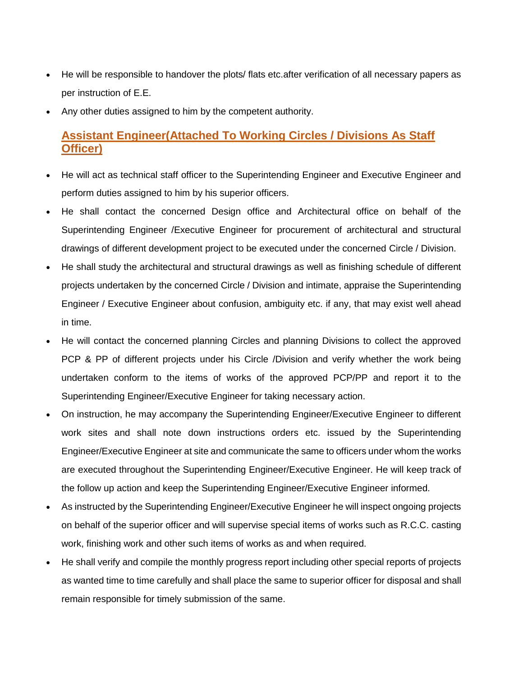- He will be responsible to handover the plots/ flats etc.after verification of all necessary papers as per instruction of E.E.
- Any other duties assigned to him by the competent authority.

#### **Assistant Engineer(Attached To Working Circles / Divisions As Staff Officer)**

- He will act as technical staff officer to the Superintending Engineer and Executive Engineer and perform duties assigned to him by his superior officers.
- He shall contact the concerned Design office and Architectural office on behalf of the Superintending Engineer /Executive Engineer for procurement of architectural and structural drawings of different development project to be executed under the concerned Circle / Division.
- He shall study the architectural and structural drawings as well as finishing schedule of different projects undertaken by the concerned Circle / Division and intimate, appraise the Superintending Engineer / Executive Engineer about confusion, ambiguity etc. if any, that may exist well ahead in time.
- He will contact the concerned planning Circles and planning Divisions to collect the approved PCP & PP of different projects under his Circle /Division and verify whether the work being undertaken conform to the items of works of the approved PCP/PP and report it to the Superintending Engineer/Executive Engineer for taking necessary action.
- On instruction, he may accompany the Superintending Engineer/Executive Engineer to different work sites and shall note down instructions orders etc. issued by the Superintending Engineer/Executive Engineer at site and communicate the same to officers under whom the works are executed throughout the Superintending Engineer/Executive Engineer. He will keep track of the follow up action and keep the Superintending Engineer/Executive Engineer informed.
- As instructed by the Superintending Engineer/Executive Engineer he will inspect ongoing projects on behalf of the superior officer and will supervise special items of works such as R.C.C. casting work, finishing work and other such items of works as and when required.
- He shall verify and compile the monthly progress report including other special reports of projects as wanted time to time carefully and shall place the same to superior officer for disposal and shall remain responsible for timely submission of the same.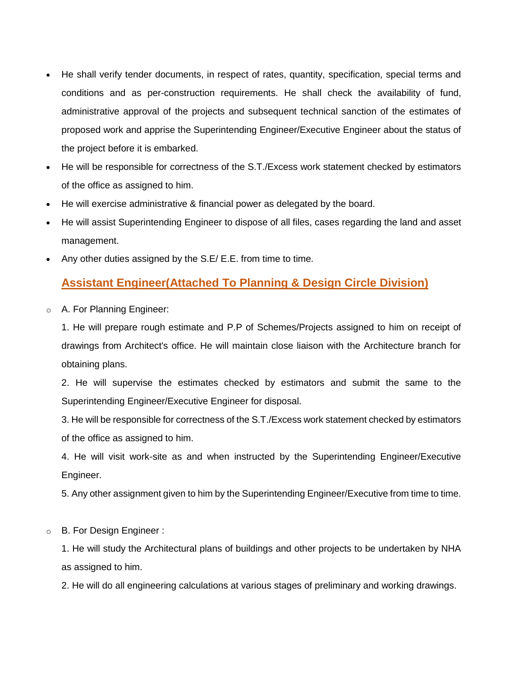- He shall verify tender documents, in respect of rates, quantity, specification, special terms and conditions and as per-construction requirements. He shall check the availability of fund, administrative approval of the projects and subsequent technical sanction of the estimates of proposed work and apprise the Superintending Engineer/Executive Engineer about the status of the project before it is embarked.
- He will be responsible for correctness of the S.T./Excess work statement checked by estimators of the office as assigned to him.
- He will exercise administrative & financial power as delegated by the board.
- He will assist Superintending Engineer to dispose of all files, cases regarding the land and asset management.
- Any other duties assigned by the S.E/ E.E. from time to time.

#### **Assistant Engineer(Attached To Planning & Design Circle Division)**

o A. For Planning Engineer:

1. He will prepare rough estimate and P.P of Schemes/Projects assigned to him on receipt of drawings from Architect's office. He will maintain close liaison with the Architecture branch for obtaining plans.

2. He will supervise the estimates checked by estimators and submit the same to the Superintending Engineer/Executive Engineer for disposal.

3. He will be responsible for correctness of the S.T./Excess work statement checked by estimators of the office as assigned to him.

4. He will visit work-site as and when instructed by the Superintending Engineer/Executive Engineer.

5. Any other assignment given to him by the Superintending Engineer/Executive from time to time.

o B. For Design Engineer :

1. He will study the Architectural plans of buildings and other projects to be undertaken by NHA as assigned to him.

2. He will do all engineering calculations at various stages of preliminary and working drawings.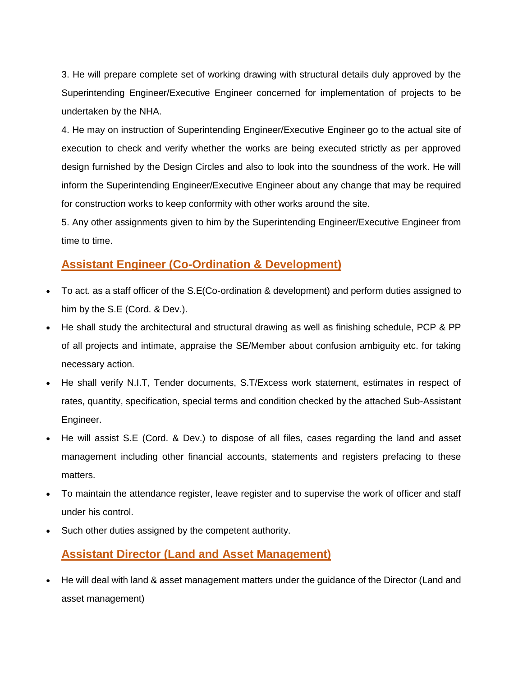3. He will prepare complete set of working drawing with structural details duly approved by the Superintending Engineer/Executive Engineer concerned for implementation of projects to be undertaken by the NHA.

4. He may on instruction of Superintending Engineer/Executive Engineer go to the actual site of execution to check and verify whether the works are being executed strictly as per approved design furnished by the Design Circles and also to look into the soundness of the work. He will inform the Superintending Engineer/Executive Engineer about any change that may be required for construction works to keep conformity with other works around the site.

5. Any other assignments given to him by the Superintending Engineer/Executive Engineer from time to time.

#### **Assistant Engineer (Co-Ordination & Development)**

- To act. as a staff officer of the S.E(Co-ordination & development) and perform duties assigned to him by the S.E (Cord. & Dev.).
- He shall study the architectural and structural drawing as well as finishing schedule, PCP & PP of all projects and intimate, appraise the SE/Member about confusion ambiguity etc. for taking necessary action.
- He shall verify N.I.T, Tender documents, S.T/Excess work statement, estimates in respect of rates, quantity, specification, special terms and condition checked by the attached Sub-Assistant Engineer.
- He will assist S.E (Cord. & Dev.) to dispose of all files, cases regarding the land and asset management including other financial accounts, statements and registers prefacing to these matters.
- To maintain the attendance register, leave register and to supervise the work of officer and staff under his control.
- Such other duties assigned by the competent authority.

#### **Assistant Director (Land and Asset Management)**

 He will deal with land & asset management matters under the guidance of the Director (Land and asset management)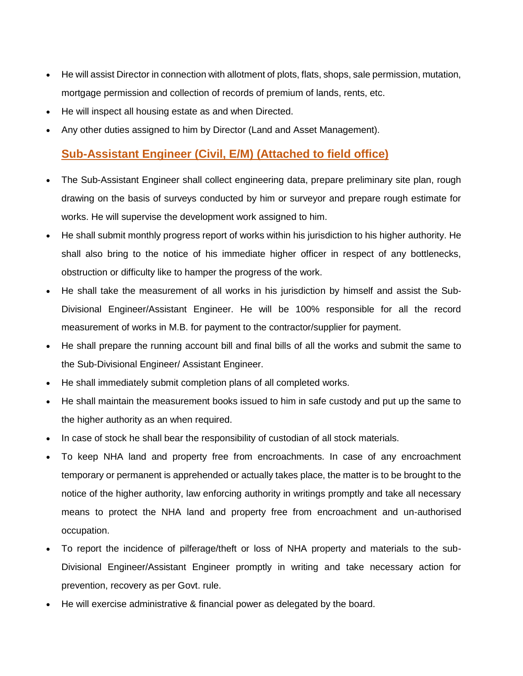- He will assist Director in connection with allotment of plots, flats, shops, sale permission, mutation, mortgage permission and collection of records of premium of lands, rents, etc.
- He will inspect all housing estate as and when Directed.
- Any other duties assigned to him by Director (Land and Asset Management).

#### **Sub-Assistant Engineer (Civil, E/M) (Attached to field office)**

- The Sub-Assistant Engineer shall collect engineering data, prepare preliminary site plan, rough drawing on the basis of surveys conducted by him or surveyor and prepare rough estimate for works. He will supervise the development work assigned to him.
- He shall submit monthly progress report of works within his jurisdiction to his higher authority. He shall also bring to the notice of his immediate higher officer in respect of any bottlenecks, obstruction or difficulty like to hamper the progress of the work.
- He shall take the measurement of all works in his jurisdiction by himself and assist the Sub-Divisional Engineer/Assistant Engineer. He will be 100% responsible for all the record measurement of works in M.B. for payment to the contractor/supplier for payment.
- He shall prepare the running account bill and final bills of all the works and submit the same to the Sub-Divisional Engineer/ Assistant Engineer.
- He shall immediately submit completion plans of all completed works.
- He shall maintain the measurement books issued to him in safe custody and put up the same to the higher authority as an when required.
- In case of stock he shall bear the responsibility of custodian of all stock materials.
- To keep NHA land and property free from encroachments. In case of any encroachment temporary or permanent is apprehended or actually takes place, the matter is to be brought to the notice of the higher authority, law enforcing authority in writings promptly and take all necessary means to protect the NHA land and property free from encroachment and un-authorised occupation.
- To report the incidence of pilferage/theft or loss of NHA property and materials to the sub-Divisional Engineer/Assistant Engineer promptly in writing and take necessary action for prevention, recovery as per Govt. rule.
- He will exercise administrative & financial power as delegated by the board.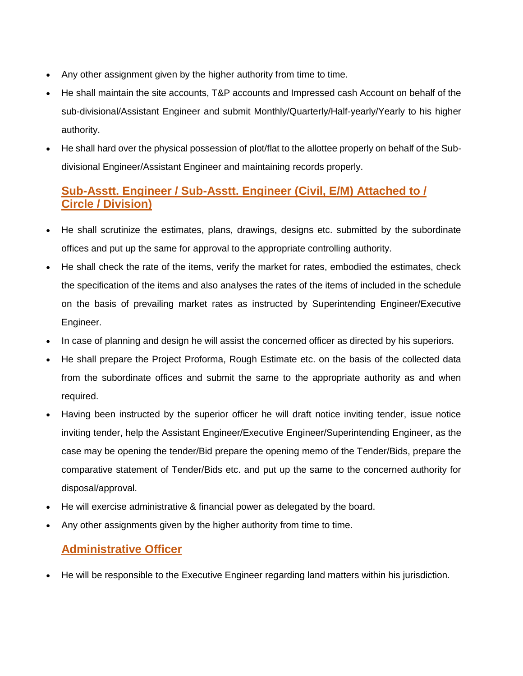- Any other assignment given by the higher authority from time to time.
- He shall maintain the site accounts, T&P accounts and Impressed cash Account on behalf of the sub-divisional/Assistant Engineer and submit Monthly/Quarterly/Half-yearly/Yearly to his higher authority.
- He shall hard over the physical possession of plot/flat to the allottee properly on behalf of the Subdivisional Engineer/Assistant Engineer and maintaining records properly.

## **Sub-Asstt. Engineer / Sub-Asstt. Engineer (Civil, E/M) Attached to / Circle / Division)**

- He shall scrutinize the estimates, plans, drawings, designs etc. submitted by the subordinate offices and put up the same for approval to the appropriate controlling authority.
- He shall check the rate of the items, verify the market for rates, embodied the estimates, check the specification of the items and also analyses the rates of the items of included in the schedule on the basis of prevailing market rates as instructed by Superintending Engineer/Executive Engineer.
- In case of planning and design he will assist the concerned officer as directed by his superiors.
- He shall prepare the Project Proforma, Rough Estimate etc. on the basis of the collected data from the subordinate offices and submit the same to the appropriate authority as and when required.
- Having been instructed by the superior officer he will draft notice inviting tender, issue notice inviting tender, help the Assistant Engineer/Executive Engineer/Superintending Engineer, as the case may be opening the tender/Bid prepare the opening memo of the Tender/Bids, prepare the comparative statement of Tender/Bids etc. and put up the same to the concerned authority for disposal/approval.
- He will exercise administrative & financial power as delegated by the board.
- Any other assignments given by the higher authority from time to time.

#### **Administrative Officer**

He will be responsible to the Executive Engineer regarding land matters within his jurisdiction.